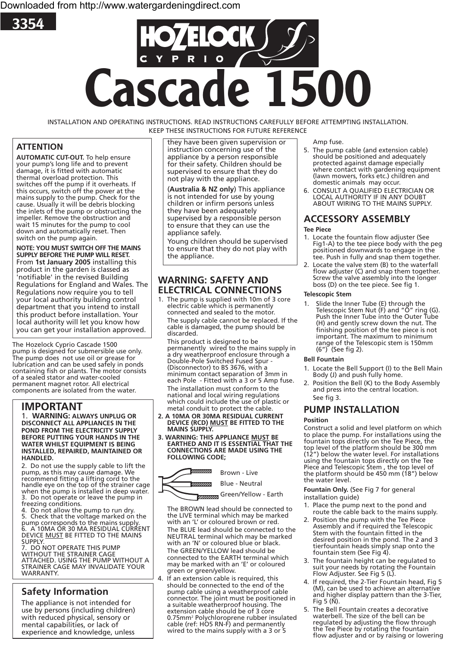



INSTALLATION AND OPERATING INSTRUCTIONS. READ INSTRUCTIONS CAREFULLY BEFORE ATTEMPTING INSTALLATION. KEEP THESE INSTRUCTIONS FOR FUTURE REFERENCE

# **ATTENTION**

**AUTOMATIC CUT-OUT.** To help ensure your pump's long life and to prevent damage, it is fitted with automatic thermal overload protection. This switches off the pump if it overheats. If this occurs, switch off the power at the mains supply to the pump. Check for the cause. Usually it will be debris blocking the inlets of the pump or obstructing the impeller. Remove the obstruction and wait 15 minutes for the pump to cool down and automatically reset. Then switch on the pump again.

**NOTE: YOU MUST SWITCH OFF THE MAINS SUPPLY BEFORE THE PUMP WILL RESET.** From **1st January 2005** installing this product in the garden is classed as 'notifiable' in the revised Building Regulations for England and Wales. The Regulations now require you to tell your local authority building control department that you intend to install this product before installation. Your local authority will let you know how you can get your installation approved.

The Hozelock Cyprio Cascade 1500 pump is designed for submersible use only. The pump does not use oil or grease for lubrication and can be used safely in ponds containing fish or plants. The motor consists of a sealed stator and water-cooled permanent magnet rotor. All electrical components are isolated from the water.

# **IMPORTANT**

1. **WARNING: ALWAYS UNPLUG OR DISCONNECT ALL APPLIANCES IN THE POND FROM THE ELECTRICITY SUPPLY BEFORE PUTTING YOUR HANDS IN THE WATER WHILST EQUIPMENT IS BEING INSTALLED, REPAIRED, MAINTAINED OR HANDLED.**

2. Do not use the supply cable to lift the pump, as this may cause damage. We recommend fitting a lifting cord to the handle eye on the top of the strainer cage when the pump is installed in deep water. 3. Do not operate or leave the pump in freezing conditions.

4. Do not allow the pump to run dry.<br>5. Check that the voltage marked on 5. Check that the voltage marked on the pump corresponds to the mains supply. 6. A 10MA OR 30 MA RESIDUAL CURRENT DEVICE <u>MUST</u> BE FITTED TO THE MAINS<br>SUPPLY.<br>7 DO NOT OPERATE THIS PUMP

DO NOT OPERATE THIS PUMP WITHOUT THE STRAINER CAGE ATTACHED. USING THE PUMP WITHOUT A STRAINER CAGE MAY INVALIDATE YOUR WARRANTY.

# **Safety Information**

The appliance is not intended for use by persons (including children) with reduced physical, sensory or mental capabilities, or lack of experience and knowledge, unless

they have been given supervision or instruction concerning use of the appliance by a person responsible for their safety. Children should be supervised to ensure that they do not play with the appliance.

(**Australia & NZ only**) This appliance is not intended for use by young children or infirm persons unless they have been adequately supervised by a responsible person to ensure that they can use the appliance safely.

Young children should be supervised to ensure that they do not play with the appliance.

## **WARNING: SAFETY AND ELECTRICAL CONNECTIONS**

1. The pump is supplied with 10m of 3 core electric cable which is permanently connected and sealed to the motor. The supply cable cannot be replaced. If the cable is damaged, the pump should be discarded.

This product is designed to be permanently wired to the mains supply in a dry weatherproof enclosure through a Double-Pole Switched Fused Spur - (Disconnector) to BS 3676, with a minimum contact separation of 3mm in each Pole - Fitted with a 3 or 5 Amp fuse. The installation must conform to the national and local wiring regulations which could include the use of plastic or

- metal conduit to protect the cable.<br>2. A 10MA OR 30MA RESIDUAL CURRENT **2. DEVICE (RCD) MUST BE FITTED TO THE** MAINS SUPPLY.
- **3. WARNING: THIS APPLIANCE MUST BE EARTHED AND IT IS ESSENTIAL THAT THE CONNECTIONS ARE MADE USING THE FOLLOWING CODE;**

mmm Brown - Live

Blue - Neutral

*<del>Green/Yellow - Earth* School</del>

The BROWN lead should be connected to the LIVE terminal which may be marked with an 'L' or coloured brown or red. The BLUE lead should be connected to the NEUTRAL terminal which may be marked with an 'N' or coloured blue or black. The GREEN/YELLOW lead should be connected to the EARTH terminal which may be marked with an 'E' or coloured green or green/yellow.

4. If an extension cable is required, this should be connected to the end of the pump cable using a weatherproof cable connector. The joint must be positioned in a suitable weatherproof housing. The extension cable should be of 3 core 0.75mm² Polychloroprene rubber insulated<br>cable (ref: HO5 RN-F) and permanently wired to the mains supply with a 3 or 5

Amp fuse.

- 5. The pump cable (and extension cable) should be positioned and adequately protected against damage especially where contact with gardening equipment (lawn mowers, forks etc.) children and domestic animals may occur.<br>6. CONSULT A OUALIFIED ELECTRICIAN OR
- 6. CONSULT A QUALIFIED ELECTRICIAN OR LOCAL AUTHORITY IF IN ANY DOUBT ABOUT WIRING TO THE MAINS SUPPLY.

# **ACCESSORY ASSEMBLY**

## **Tee Piece**

- 1. Locate the fountain flow adjuster (See Fig1-A) to the tee piece body with the peg positioned downwards to engage in the tee. Push in fully and snap them together.
- 2. Locate the valve stem (B) to the waterfall flow adjuster (C) and snap them together. Screw the valve assembly into the longer boss (D) on the tee piece. See fig 1.

## **Telescopic Stem**

1. Slide the Inner Tube (E) through the Telescopic Stem Nut (F) and "O" ring (G). Push the Inner Tube into the Outer Tube (H) and gently screw down the nut. The finishing position of the tee piece is not important. The maximum to minimum range of the Telescopic stem is 150mm (6") (See fig 2).

### **Bell Fountain**

- 1. Locate the Bell Support (I) to the Bell Main Body (J) and push fully home.
- 2. Position the Bell (K) to the Body Assembly and press into the central location. See fig 3.

# **PUMP INSTALLATION**

### **Position**

Construct a solid and level platform on which to place the pump. For installations using the fountain tops directly on the Tee Piece, the top level of the platform should be 300 mm (12") below the water level. For installations using the fountain tops directly on the Tee Piece and Telescopic Stem , the top level of the platform should be 450 mm (18") below the water level.

**Fountain Only.** (See Fig 7 for general installation guide)

- 1. Place the pump next to the pond and route the cable back to the mains supply.
- 2. Position the pump with the Tee Piece Assembly and if required the Telescopic Stem with the fountain fitted in the desired position in the pond. The 2 and 3 tierfountain heads simply snap onto the fountain stem (See Fig 4).
- 3. The fountain height can be regulated to suit your needs by rotating the Fountain Flow Adjuster. See Fig 5 (L).
- 4. If required, the 2-Tier Fountain head, Fig 5 (M), can be used to achieve an alternative and higher display pattern than the 3-Tier, Fig 5  $(N)$ .
- 5. The Bell Fountain creates a decorative waterbell. The size of the bell can be regulated by adjusting the flow through the Tee Piece by rotating the fountain flow adjuster and or by raising or lowering